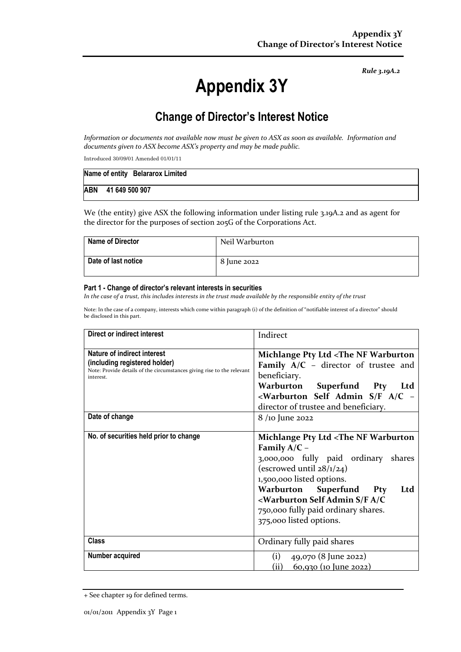*Rule 3.19A.2*

# **Appendix 3Y**

# **Change of Director's Interest Notice**

*Information or documents not available now must be given to ASX as soon as available. Information and documents given to ASX become ASX's property and may be made public.*

Introduced 30/09/01 Amended 01/01/11

|                    | Name of entity Belararox Limited |  |  |  |
|--------------------|----------------------------------|--|--|--|
| ABN 41 649 500 907 |                                  |  |  |  |

We (the entity) give ASX the following information under listing rule 3.19A.2 and as agent for the director for the purposes of section 205G of the Corporations Act.

| <b>Name of Director</b> | Neil Warburton |
|-------------------------|----------------|
| Date of last notice     | 8 June 2022    |

#### **Part 1 - Change of director's relevant interests in securities**

*In the case of a trust, this includes interests in the trust made available by the responsible entity of the trust*

Note: In the case of a company, interests which come within paragraph (i) of the definition of "notifiable interest of a director" should be disclosed in this part.

| Direct or indirect interest                                                                                                                                | Indirect                                                                                                                                                                                                                                                                                                                                                                     |
|------------------------------------------------------------------------------------------------------------------------------------------------------------|------------------------------------------------------------------------------------------------------------------------------------------------------------------------------------------------------------------------------------------------------------------------------------------------------------------------------------------------------------------------------|
| <b>Nature of indirect interest</b><br>(including registered holder)<br>Note: Provide details of the circumstances giving rise to the relevant<br>interest. | Michlange Pty Ltd <the nf="" warburton<br="">Family <math>A/C</math> – director of trustee and<br/>beneficiary.<br/>Warburton Superfund Pty<br/>Ltd<br/><warburton -<br="" a="" admin="" c="" f="" s="" self="">director of trustee and beneficiary.</warburton></the>                                                                                                       |
| Date of change                                                                                                                                             | 8 /10 June 2022                                                                                                                                                                                                                                                                                                                                                              |
| No. of securities held prior to change                                                                                                                     | Michlange Pty Ltd <the nf="" warburton<br="">Family <math>A/C -</math><br/>3,000,000 fully paid ordinary shares<br/>(escrowed until <math>28/1/24</math>)<br/>1,500,000 listed options.<br/>Warburton<br/>Superfund<br/>Pty<br/>Ltd<br/><warburton a="" admin="" c<br="" f="" s="" self="">750,000 fully paid ordinary shares.<br/>375,000 listed options.</warburton></the> |
| <b>Class</b>                                                                                                                                               | Ordinary fully paid shares                                                                                                                                                                                                                                                                                                                                                   |
| Number acquired                                                                                                                                            | (i)<br>49,070 (8 June 2022)<br>(ii)<br><u>60,930 (10 June 2022)</u>                                                                                                                                                                                                                                                                                                          |

<sup>+</sup> See chapter 19 for defined terms.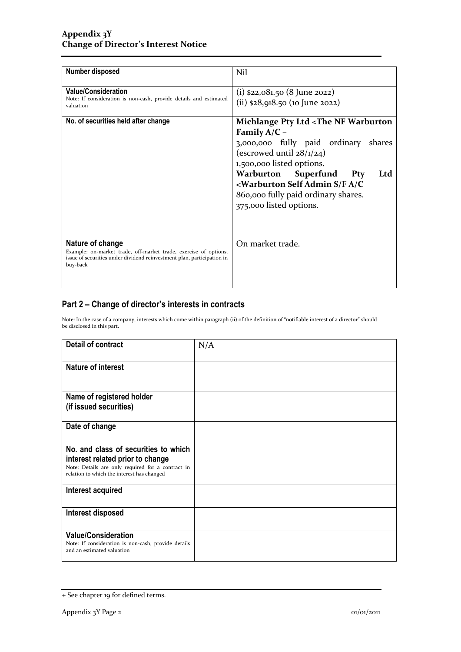| Number disposed                                                                                                                                                            | Nil                                                                                                                                                                                                                                                                                                                                                                              |
|----------------------------------------------------------------------------------------------------------------------------------------------------------------------------|----------------------------------------------------------------------------------------------------------------------------------------------------------------------------------------------------------------------------------------------------------------------------------------------------------------------------------------------------------------------------------|
| <b>Value/Consideration</b><br>Note: If consideration is non-cash, provide details and estimated<br>valuation                                                               | $(i)$ \$22,081.50 (8 June 2022)<br>(ii) $$28,918.50$ (10 June 2022)                                                                                                                                                                                                                                                                                                              |
| No. of securities held after change                                                                                                                                        | Michlange Pty Ltd <the nf="" warburton<br="">Family <math>A/C -</math><br/>3,000,000 fully paid ordinary<br/>shares<br/>(escrowed until <math>28/1/24</math>)<br/>1,500,000 listed options.<br/>Warburton<br/>Superfund<br/>Pty<br/>Ltd<br/><warburton a="" admin="" c<br="" f="" s="" self="">860,000 fully paid ordinary shares.<br/>375,000 listed options.</warburton></the> |
| Nature of change<br>Example: on-market trade, off-market trade, exercise of options,<br>issue of securities under dividend reinvestment plan, participation in<br>buy-back | On market trade.                                                                                                                                                                                                                                                                                                                                                                 |

### **Part 2 – Change of director's interests in contracts**

Note: In the case of a company, interests which come within paragraph (ii) of the definition of "notifiable interest of a director" should be disclosed in this part.

| <b>Detail of contract</b>                                                                       | N/A |
|-------------------------------------------------------------------------------------------------|-----|
|                                                                                                 |     |
| <b>Nature of interest</b>                                                                       |     |
|                                                                                                 |     |
| Name of registered holder                                                                       |     |
| (if issued securities)                                                                          |     |
|                                                                                                 |     |
| Date of change                                                                                  |     |
|                                                                                                 |     |
| No. and class of securities to which                                                            |     |
| interest related prior to change                                                                |     |
| Note: Details are only required for a contract in<br>relation to which the interest has changed |     |
|                                                                                                 |     |
| Interest acquired                                                                               |     |
|                                                                                                 |     |
| Interest disposed                                                                               |     |
|                                                                                                 |     |
| <b>Value/Consideration</b>                                                                      |     |
| Note: If consideration is non-cash, provide details<br>and an estimated valuation               |     |
|                                                                                                 |     |

<sup>+</sup> See chapter 19 for defined terms.